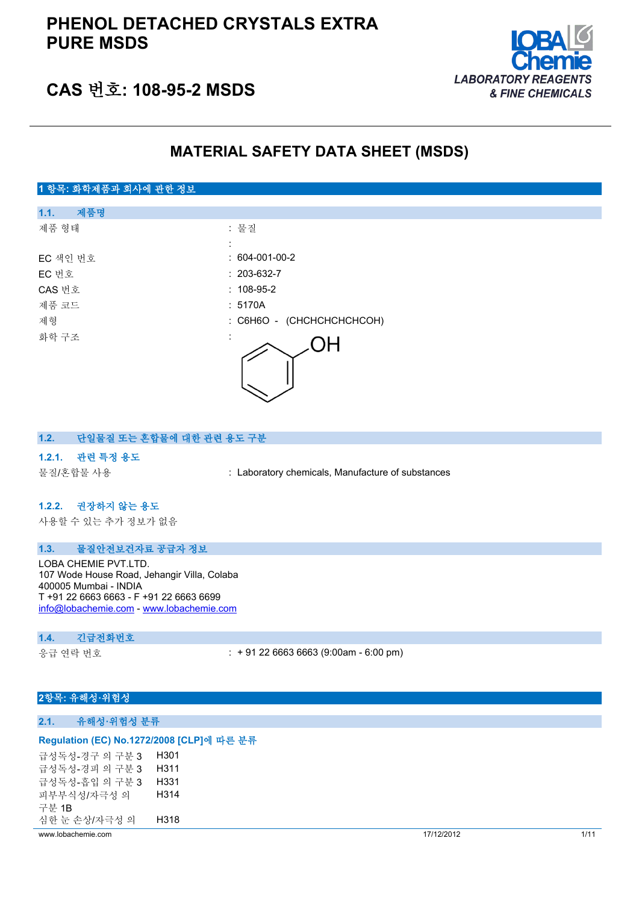

# **CAS 번호: 108-95-2 MSDS**

# **MATERIAL SAFETY DATA SHEET (MSDS)**



#### **1.2. 단일물질 또는 혼합물에 대한 관련 용도 구분**

#### **1.2.1. 관련 특정 용도**

물질/혼합물 사용 : Laboratory chemicals, Manufacture of substances

#### **1.2.2. 권장하지 않는 용도**

사용할 수 있는 추가 정보가 없음

#### **1.3. 물질안전보건자료 공급자 정보**

LOBA CHEMIE PVT.LTD. 107 Wode House Road, Jehangir Villa, Colaba 400005 Mumbai - INDIA T +91 22 6663 6663 - F +91 22 6663 6699 [info@lobachemie.com](mailto:info@lobachemie.com) - <www.lobachemie.com>

#### **1.4. 긴급전화번호**

응급 연락 번호 : + 91 22 6663 6663 (9:00am - 6:00 pm)

## **2항목: 유해성·위험성**

#### **2.1. 유해성·위험성 분류**

#### **Regulation (EC) No.1272/2008 [CLP]에 따른 분류**

| www.lobachemie.com  |      | 17/12/2012 | 1/11 |
|---------------------|------|------------|------|
| 심한 눈 손상/자극성 의       | H318 |            |      |
| 구부 1B               |      |            |      |
| 피부부식성/자극성 의         | H314 |            |      |
| 급성독성-흡입 의 구분 3      | H331 |            |      |
| 급성독성-경피 의 구분 3      | H311 |            |      |
| 급성독성-경구 의 구분 3 H301 |      |            |      |
|                     |      |            |      |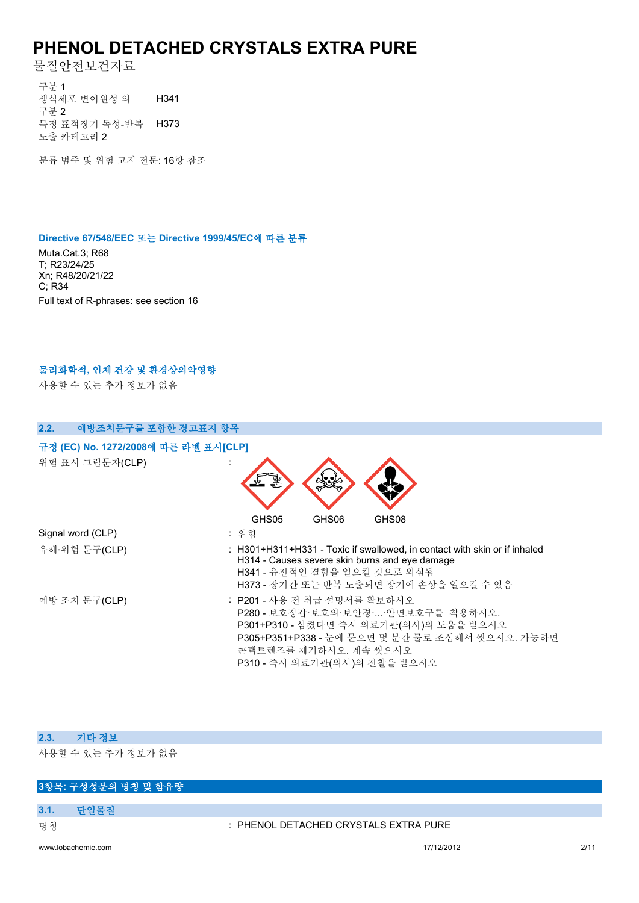물질안전보건자료

구분 1 생식세포 변이원성 의 구분 2 H341 특정 표적장기 독성-반복 H373 노출 카테고리 2

분류 범주 및 위험 고지 전문: 16항 참조

#### **Directive 67/548/EEC 또는 Directive 1999/45/EC에 따른 분류**

Muta.Cat.3; R68 T; R23/24/25 Xn; R48/20/21/22 C; R34 Full text of R-phrases: see section 16

### **물리화학적, 인체 건강 및 환경상의악영향**

사용할 수 있는 추가 정보가 없음

| 예방조치문구를 포함한 경고표지 항목<br>2.2.          |                                                                                                                                                                                                                         |
|--------------------------------------|-------------------------------------------------------------------------------------------------------------------------------------------------------------------------------------------------------------------------|
| 규정 (EC) No. 1272/2008에 따른 라벨 표시[CLP] |                                                                                                                                                                                                                         |
| 위험 표시 그림문자(CLP)                      |                                                                                                                                                                                                                         |
|                                      | GHS05<br>GHS08<br>GHS06                                                                                                                                                                                                 |
| Signal word (CLP)                    | : 위험                                                                                                                                                                                                                    |
| 유해·위험 문구(CLP)                        | : H301+H311+H331 - Toxic if swallowed, in contact with skin or if inhaled<br>H314 - Causes severe skin burns and eye damage<br>H341 - 유전적인 결함을 일으킬 것으로 의심됨<br>H373 - 장기간 또는 반복 노출되면 장기에 손상을 일으킬 수 있음                    |
| 예방 조치 문구(CLP)                        | : P201 - 사용 전 취급 설명서를 확보하시오<br>P280 - 보호장갑·보호의·보안경··안면보호구를 착용하시오.<br>P301+P310 - 삼켰다면 즉시 의료기관(의사)의 도움을 받으시오<br>P305+P351+P338 - 눈에 묻으면 몇 분간 물로 조심해서 씻으시오. 가능하면<br>콘택트렌즈를 제거하시오. 계속 씻으시오<br>P310 - 즉시 의료기관(의사)의 진찰을 받으시오 |

### **2.3. 기타 정보**

사용할 수 있는 추가 정보가 없음

### **3항목: 구성성분의 명칭 및 함유량**

**3.1. 단일물질**

명칭 : PHENOL DETACHED CRYSTALS EXTRA PURE

www.lobachemie.com 2/11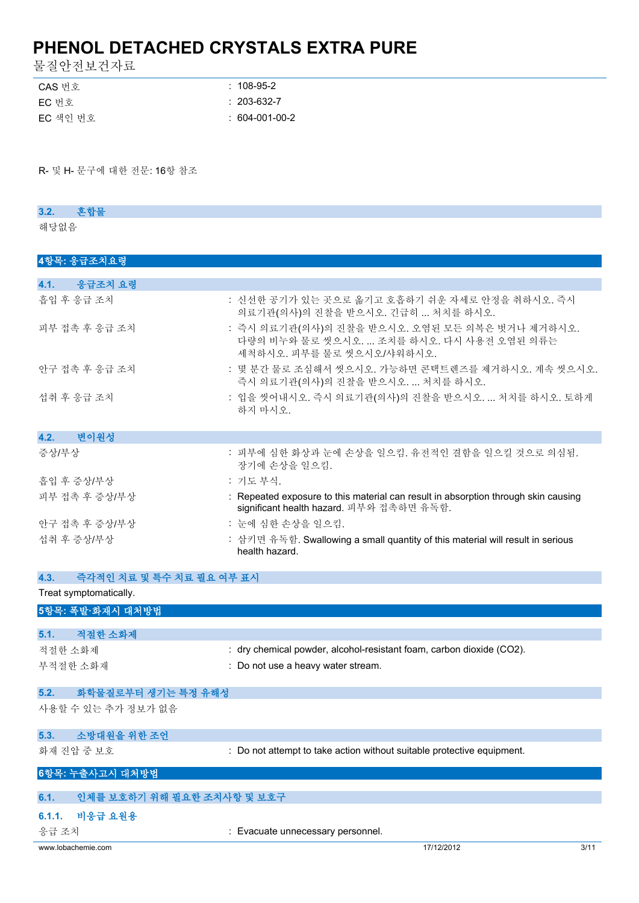물질안전보건자료

| CAS 번호   | $: 108-95-2$      |
|----------|-------------------|
| EC 번호    | $: 203 - 632 - 7$ |
| EC 색인 번호 | $: 604-001-00-2$  |

R- 및 H- 문구에 대한 전문: 16항 참조

### **3.2. 혼합물**

해당없음

## **4항목: 응급조치요령**

| 4.1.<br>응급조치 요령 |                                                                                                                                |
|-----------------|--------------------------------------------------------------------------------------------------------------------------------|
| 흡입 후 응급 조치      | : 신선한 공기가 있는 곳으로 옮기고 호흡하기 쉬운 자세로 안정을 취하시오. 즉시<br>의료기관(의사)의 진찰을 받으시오. 긴급히  처치를 하시오.                                             |
| 피부 접촉 후 응급 조치   | : 즉시 의료기관(의사)의 진찰을 받으시오. 오염된 모든 의복은 벗거나 제거하시오.<br>다량의 비누와 물로 씻으시오.  조치를 하시오. 다시 사용전 오염된 의류는<br>세척하시오. 피부를 물로 씻으시오/샤워하시오.       |
| 안구 접촉 후 응급 조치   | : 몇 분간 물로 조심해서 씻으시오. 가능하면 콘택트렌즈를 제거하시오. 계속 씻으시오.<br>즉시 의료기관(의사)의 진찰을 받으시오.  처치를 하시오.                                           |
| 섭취 후 응급 조치      | : 입을 씻어내시오. 즉시 의료기관(의사)의 진찰을 받으시오.  처치를 하시오. 토하게<br>하지 마시오.                                                                    |
| 4.2.<br>변이원성    |                                                                                                                                |
| 증상/부상           | : 피부에 심한 화상과 눈에 손상을 일으킴. 유전적인 결함을 일으킬 것으로 의심됨.<br>장기에 손상을 일으킴.                                                                 |
| 흡입 후 증상/부상      | : 기도 부식.                                                                                                                       |
| 피부 접촉 후 증상/부상   | : Repeated exposure to this material can result in absorption through skin causing<br>significant health hazard. 피부와 접촉하면 유독함. |
| 안구 접촉 후 증상/부상   | : 눈에 심한 손상을 일으킴.                                                                                                               |
| 섭취 후 증상/부상      | : 삼키면 유독함. Swallowing a small quantity of this material will result in serious<br>health hazard.                               |

| 4.3.<br>즉각적인 치료 및 특수 치료 필요 여부 표시   |                                                                        |
|------------------------------------|------------------------------------------------------------------------|
| Treat symptomatically.             |                                                                        |
| 5항목: 폭발·화재시 대처방법                   |                                                                        |
|                                    |                                                                        |
| 적절한 소화제<br>5.1.                    |                                                                        |
| 적절한 소화제                            | : dry chemical powder, alcohol-resistant foam, carbon dioxide (CO2).   |
| 부적절한 소화재                           | : Do not use a heavy water stream.                                     |
| 5.2.<br>화학물질로부터 생기는 특정 유해성         |                                                                        |
| 사용할 수 있는 추가 정보가 없음                 |                                                                        |
| 소방대원을 위한 조언<br>5.3.                |                                                                        |
| 화재 진압 중 보호                         | : Do not attempt to take action without suitable protective equipment. |
| 6항목: 누출사고시 대처방법                    |                                                                        |
|                                    |                                                                        |
| 인체를 보호하기 위해 필요한 조치사항 및 보호구<br>6.1. |                                                                        |
| 6.1.1. 비응급 요원용                     |                                                                        |

응급 조치 : Evacuate unnecessary personnel.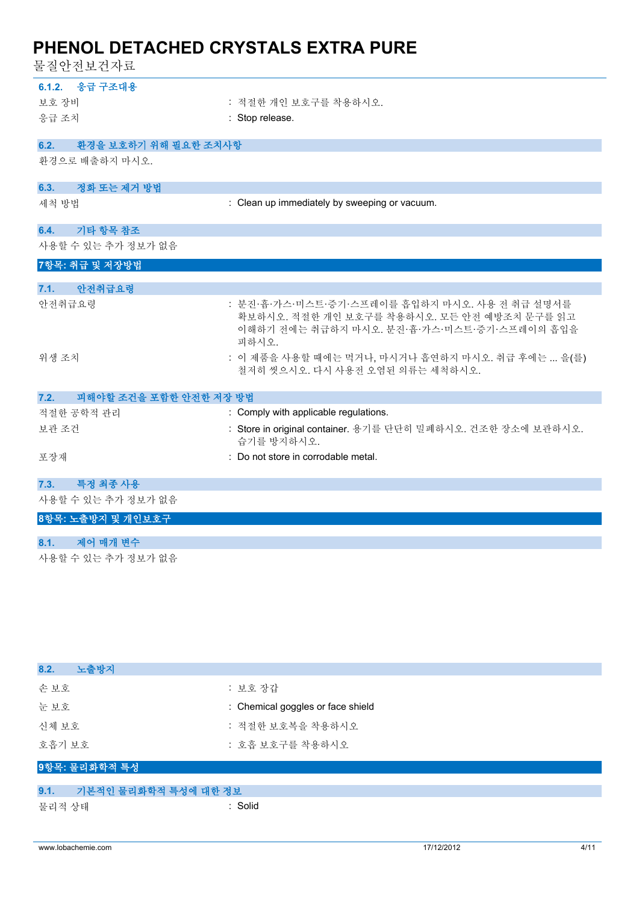물질안전보건자료

| 6.1.2. 응급 구조대용                 |                                                                                                                                                      |
|--------------------------------|------------------------------------------------------------------------------------------------------------------------------------------------------|
| 보호 장비                          | : 적절한 개인 보호구를 착용하시오.                                                                                                                                 |
| 응급 조치                          | : Stop release.                                                                                                                                      |
|                                |                                                                                                                                                      |
| 환경을 보호하기 위해 필요한 조치사항<br>6.2.   |                                                                                                                                                      |
| 환경으로 배출하지 마시오.                 |                                                                                                                                                      |
| 정화 또는 제거 방법<br>6.3.            |                                                                                                                                                      |
| 세척 방법                          | : Clean up immediately by sweeping or vacuum.                                                                                                        |
| 기타 항목 참조<br>6.4.               |                                                                                                                                                      |
| 사용할 수 있는 추가 정보가 없음             |                                                                                                                                                      |
| 7항목: 취급 및 저장방법                 |                                                                                                                                                      |
| 안전취급요령<br>7.1.                 |                                                                                                                                                      |
| 안전취급요령                         | : 분진·흄·가스·미스트·증기·스프레이를 흡입하지 마시오. 사용 전 취급 설명서를<br>확보하시오. 적절한 개인 보호구를 착용하시오. 모든 안전 예방조치 문구를 읽고<br>이해하기 전에는 취급하지 마시오. 분진·흄·가스·미스트·증기·스프레이의 흡입을<br>피하시오. |
| 위생 조치                          | : 이 제품을 사용할 때에는 먹거나, 마시거나 흡연하지 마시오. 취급 후에는  을(를)<br>철저히 씻으시오. 다시 사용전 오염된 의류는 세척하시오.                                                                  |
| 피해야할 조건을 포함한 안전한 저장 방법<br>7.2. |                                                                                                                                                      |
| 적절한 공학적 관리                     | : Comply with applicable regulations.                                                                                                                |
| 보관 조건                          | : Store in original container. 용기를 단단히 밀폐하시오. 건조한 장소에 보관하시오.<br>습기를 방지하시오.                                                                           |
| 포장재                            | : Do not store in corrodable metal.                                                                                                                  |
|                                |                                                                                                                                                      |
| 특정 최종 사용<br>7.3.               |                                                                                                                                                      |
| 사용할 수 있는 추가 정보가 없음             |                                                                                                                                                      |

**8항목: 노출방지 및 개인보호구**

### **8.1. 제어 매개 변수**

사용할 수 있는 추가 정보가 없음

| : 보호 장갑                           |
|-----------------------------------|
| : Chemical goggles or face shield |
| : 적절한 보호복을 착용하시오                  |
| : 호흡 보호구를 착용하시오                   |
|                                   |
| 기본적인 물리화학적 특성에 대한 정보              |
| : Solid                           |
|                                   |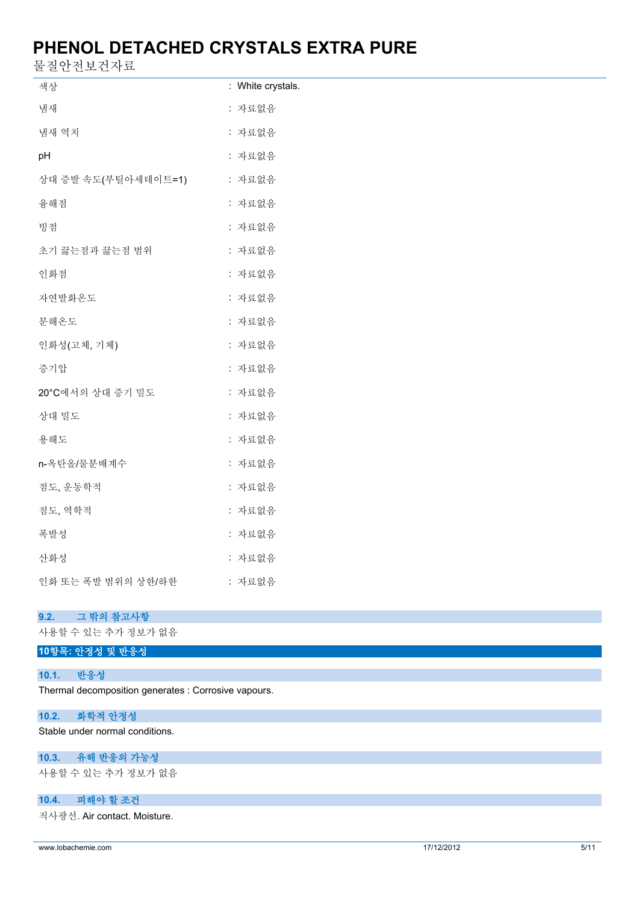물질안전보건자료

| ㄹ ㄹ ㄴ 긴 ㅗ 긴 시 ㅛ     |                   |
|---------------------|-------------------|
| 색상                  | : White crystals. |
| 냄새                  | : 자료없음            |
| 냄새 역치               | : 자료없음            |
| pH                  | : 자료없음            |
| 상대 증발 속도(부틸아세테이트=1) | : 자료없음            |
| 융해점                 | : 자료없음            |
| 빙점                  | : 자료없음            |
| 초기 끓는점과 끓는점 범위      | : 자료없음            |
| 인화점                 | : 자료없음            |
| 자연발화온도              | : 자료없음            |
| 분해온도                | : 자료없음            |
| 인화성(고체, 기체)         | : 자료없음            |
| 증기압                 | : 자료없음            |
| 20°C에서의 상대 증기 밀도    | : 자료없음            |
| 상대 밀도               | : 자료없음            |
| 용해도                 | : 자료없음            |
| n-옥탄올/물분배계수         | : 자료없음            |
| 점도, 운동학적            | : 자료없음            |
| 점도, 역학적             | : 자료없음            |
| 폭발성                 | : 자료없음            |
| 산화성                 | : 자료없음            |
| 인화 또는 폭발 범위의 상한/하한  | : 자료없음            |

### **9.2. 그 밖의 참고사항**

사용할 수 있는 추가 정보가 없음

### **10.1. 반응성**

Thermal decomposition generates : Corrosive vapours.

## **10.2. 화학적 안정성**

Stable under normal conditions.

# **10.3. 유해 반응의 가능성**

사용할 수 있는 추가 정보가 없음

# **10.4. 피해야 할 조건**

직사광선. Air contact. Moisture.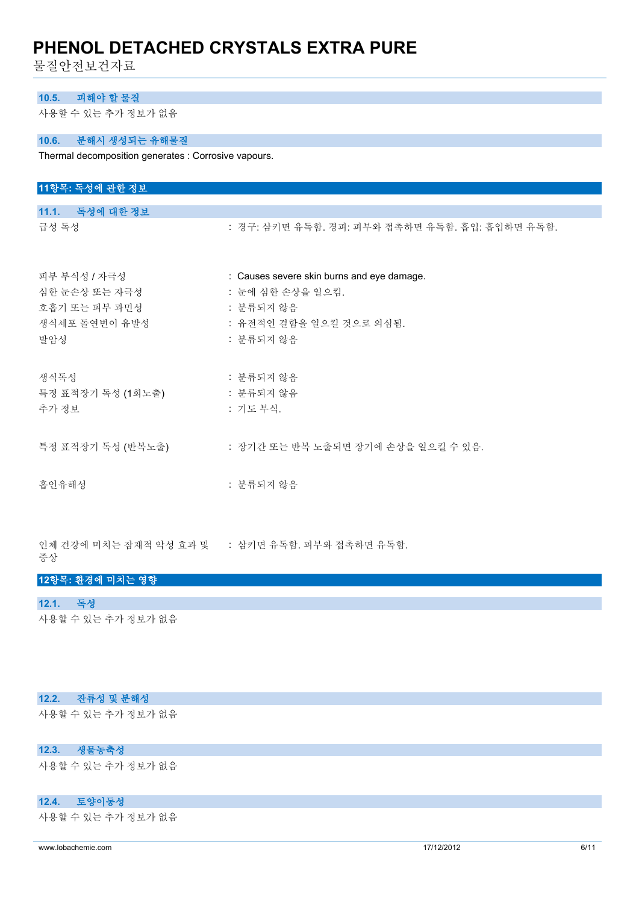물질안전보건자료

### **10.5. 피해야 할 물질**

사용할 수 있는 추가 정보가 없음

### **10.6. 분해시 생성되는 유해물질**

Thermal decomposition generates : Corrosive vapours.

| 11항목: 독성에 관한 정보   |                                                |
|-------------------|------------------------------------------------|
|                   |                                                |
| 11.1. 독성에 대한 정보   |                                                |
| 급성 독성             | : 경구: 삼키면 유독함. 경피: 피부와 접촉하면 유독함. 흡입: 흡입하면 유독함. |
| 피부 부식성 / 자극성      | : Causes severe skin burns and eye damage.     |
| 심한 눈손상 또는 자극성     | : 눈에 심한 손상을 일으킴.                               |
| 호흡기 또는 피부 과민성     | : 분류되지 않음                                      |
| 생식세포 돌연변이 유발성     | : 유전적인 결함을 일으킬 것으로 의심됨.                        |
| 발암성               | : 분류되지 않음                                      |
| 생식독성              | : 분류되지 않음                                      |
| 특정 표적장기 독성 (1회노출) | : 분류되지 않음                                      |
| 추가 정보             | : 기도 부식.                                       |
| 특정 표적장기 독성 (반복노출) | : 장기간 또는 반복 노출되면 장기에 손상을 일으킬 수 있음.             |
| 흡인유해성             | : 분류되지 않음                                      |
|                   |                                                |

인체 건강에 미치는 잠재적 악성 효과 및 증상 : 삼키면 유독함. 피부와 접촉하면 유독함.

#### **12항목: 환경에 미치는 영향**

### **12.1. 독성**

사용할 수 있는 추가 정보가 없음

### **12.2. 잔류성 및 분해성**

사용할 수 있는 추가 정보가 없음

### **12.3. 생물농축성**

사용할 수 있는 추가 정보가 없음

### **12.4. 토양이동성**

사용할 수 있는 추가 정보가 없음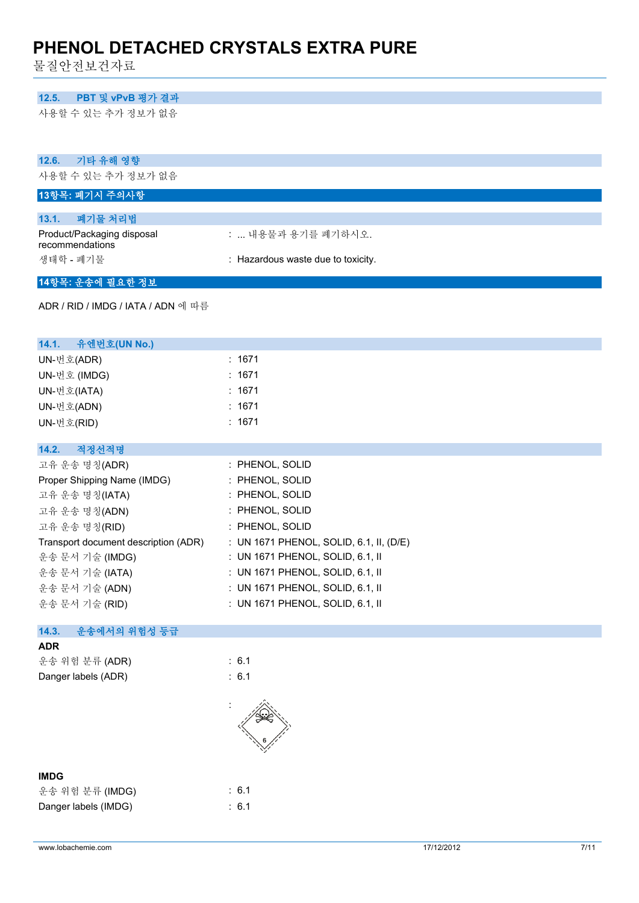물질안전보건자료

#### **12.5. PBT 및 vPvB 평가 결과**

사용할 수 있는 추가 정보가 없음

| 12.6.<br>기타 유해 영향                                     |                                         |
|-------------------------------------------------------|-----------------------------------------|
| 사용할 수 있는 추가 정보가 없음                                    |                                         |
| 13항목: 폐기시 주의사항                                        |                                         |
| 폐기물 처리법<br>13.1.                                      |                                         |
| Product/Packaging disposal                            | :  내용물과 용기를 폐기하시오.                      |
| recommendations                                       |                                         |
| 생태학 - 폐기물                                             | : Hazardous waste due to toxicity.      |
| 14항목: 운송에 필요한 정보                                      |                                         |
| ADR / RID / IMDG / IATA / ADN 에 따름                    |                                         |
| 14.1.<br>유엔번호(UN No.)                                 |                                         |
| UN-번호(ADR)                                            | : 1671                                  |
| UN-번호 (IMDG)                                          | : 1671                                  |
| UN-번호(IATA)                                           | : 1671                                  |
| UN-번호(ADN)                                            | : 1671                                  |
| UN-번호(RID)                                            | : 1671                                  |
|                                                       |                                         |
| 14.2.<br>적정선적명                                        |                                         |
| 고유 운송 명칭(ADR)                                         | : PHENOL, SOLID                         |
| Proper Shipping Name (IMDG)                           | : PHENOL, SOLID<br>: PHENOL, SOLID      |
| 고유 운송 명칭(IATA)                                        | : PHENOL, SOLID                         |
| 고유 운송 명칭(ADN)                                         | : PHENOL, SOLID                         |
| 고유 운송 명칭(RID)<br>Transport document description (ADR) | : UN 1671 PHENOL, SOLID, 6.1, II, (D/E) |
| 운송 문서 기술 (IMDG)                                       | : UN 1671 PHENOL, SOLID, 6.1, II        |
| 운송 문서 기술 (IATA)                                       | : UN 1671 PHENOL, SOLID, 6.1, II        |
| 운송 문서 기술 (ADN)                                        | : UN 1671 PHENOL, SOLID, 6.1, II        |
| 운송 문서 기술 (RID)                                        | : UN 1671 PHENOL, SOLID, 6.1, II        |
|                                                       |                                         |
| 운송에서의 위험성 등급<br>14.3.                                 |                                         |
| <b>ADR</b>                                            |                                         |
| 운송 위험 분류 (ADR)                                        | : 6.1                                   |
| Danger labels (ADR)                                   | : 6.1                                   |
|                                                       |                                         |
| <b>IMDG</b>                                           |                                         |
| 운송 위험 분류 (IMDG)                                       | : 6.1                                   |
| Danger labels (IMDG)                                  | : 6.1                                   |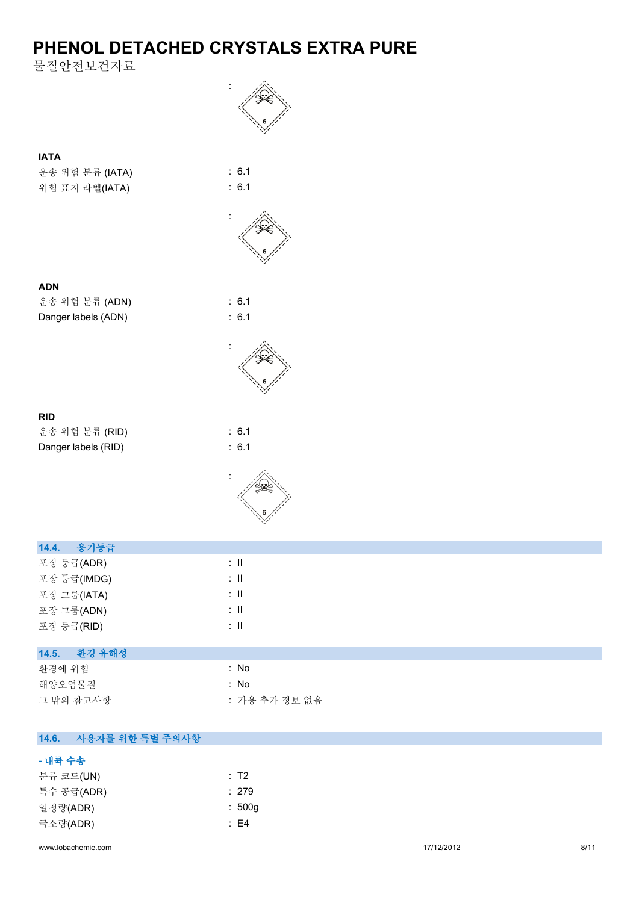물질안전보건자료

|                          | ÷                         |            |      |
|--------------------------|---------------------------|------------|------|
|                          |                           |            |      |
|                          |                           |            |      |
| <b>IATA</b>              |                           |            |      |
| 운송 위험 분류 (IATA)          | : 6.1                     |            |      |
| 위험 표지 라벨(IATA)           | : 6.1                     |            |      |
|                          |                           |            |      |
|                          |                           |            |      |
|                          |                           |            |      |
|                          |                           |            |      |
| <b>ADN</b>               |                           |            |      |
| 운송 위험 분류 (ADN)           | : 6.1                     |            |      |
| Danger labels (ADN)      | : 6.1                     |            |      |
|                          |                           |            |      |
|                          |                           |            |      |
|                          |                           |            |      |
|                          |                           |            |      |
| <b>RID</b>               |                           |            |      |
| 운송 위험 분류 (RID)           | : 6.1                     |            |      |
| Danger labels (RID)      | : 6.1                     |            |      |
|                          |                           |            |      |
|                          |                           |            |      |
|                          |                           |            |      |
|                          |                           |            |      |
| 용기등급<br>14.4.            |                           |            |      |
| 포장 등급(ADR)               | ÷Ш                        |            |      |
| 포장 등급(IMDG)              | $\colon \, \mathrm{II}$   |            |      |
| 포장 그룹(IATA)              | $\colon \, \mathrm{I\!I}$ |            |      |
| 포장 그룹(ADN)               | $\colon \, \mathrm{II}$   |            |      |
| 포장 등급(RID)               | $\colon \, \mathrm{I\!I}$ |            |      |
| 14.5.<br>환경 유해성          |                           |            |      |
| 환경에 위험                   | : No                      |            |      |
| 해양오염물질                   | : No                      |            |      |
| 그 밖의 참고사항                | : 가용 추가 정보 없음             |            |      |
|                          |                           |            |      |
| 사용자를 위한 특별 주의사항<br>14.6. |                           |            |      |
| - 내륙 수송                  |                           |            |      |
| 분류 코드(UN)                | : T2                      |            |      |
| 특수 공급(ADR)               | : 279<br>: 500g           |            |      |
| 일정량(ADR)<br>극소량(ADR)     | $\therefore$ E4           |            |      |
|                          |                           |            |      |
| www.lobachemie.com       |                           | 17/12/2012 | 8/11 |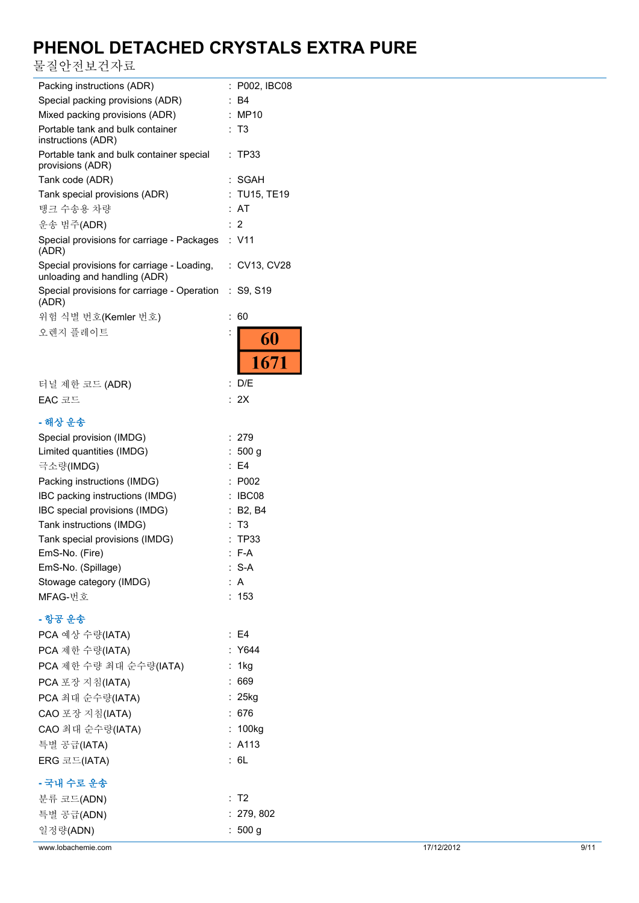물질안전보건자료

| Packing instructions (ADR)                                                 |                      | : P002, IBC08     |
|----------------------------------------------------------------------------|----------------------|-------------------|
| Special packing provisions (ADR)                                           |                      | Β4                |
| Mixed packing provisions (ADR)                                             | $\ddot{\phantom{a}}$ | MP10              |
| Portable tank and bulk container<br>instructions (ADR)                     | ÷                    | T3                |
| Portable tank and bulk container special<br>provisions (ADR)               | ÷.                   | TP33              |
| Tank code (ADR)                                                            |                      | SGAH              |
| Tank special provisions (ADR)                                              |                      | : TU15, TE19      |
| 탱크 수송용 차량                                                                  |                      | AT                |
| 운송 범주(ADR)                                                                 |                      | :2                |
| Special provisions for carriage - Packages : V11<br>(ADR)                  |                      |                   |
| Special provisions for carriage - Loading,<br>unloading and handling (ADR) |                      | : CV13, CV28      |
| Special provisions for carriage - Operation<br>(ADR)                       | ÷                    | S9, S19           |
| 위험 식별 번호(Kemler 번호)                                                        | $\ddot{\cdot}$       | 60                |
| 오렌지 플레이트                                                                   |                      | 60                |
|                                                                            |                      | 1671              |
| 터널 제한 코드 (ADR)                                                             | :                    | D/E               |
| EAC 코드                                                                     |                      | : 2X              |
|                                                                            |                      |                   |
| - 해상 운송                                                                    |                      |                   |
| Special provision (IMDG)                                                   |                      | 279               |
| Limited quantities (IMDG)                                                  |                      | : 500 g           |
| 극소량(IMDG)                                                                  |                      | E <sub>4</sub>    |
| Packing instructions (IMDG)                                                |                      | P002              |
| IBC packing instructions (IMDG)                                            |                      | IBC08             |
| IBC special provisions (IMDG)                                              |                      | <b>B2, B4</b>     |
| Tank instructions (IMDG)                                                   |                      | T3<br><b>TP33</b> |
| Tank special provisions (IMDG)<br>EmS-No. (Fire)                           |                      | : F-A             |
| EmS-No. (Spillage)                                                         |                      | $: S-A$           |
| Stowage category (IMDG)                                                    |                      | : A               |
| MFAG-번호                                                                    |                      | 153               |
| - 항공 운송                                                                    |                      |                   |
| PCA 예상 수량(IATA)                                                            |                      | $\therefore$ E4   |
| PCA 제한 수량(IATA)                                                            |                      | Y644              |
| PCA 제한 수량 최대 순수량(IATA)                                                     | ÷.                   | 1kg               |
| PCA 포장 지침(IATA)                                                            |                      | : 669             |
| PCA 최대 순수량(IATA)                                                           |                      | $: 25$ kg         |
| CAO 포장 지침(IATA)                                                            | ÷.                   | 676               |
|                                                                            |                      | : 100kg           |
| CAO 최대 순수량(IATA)                                                           |                      | : A113            |
| 특별 공급(IATA)                                                                |                      | : 6L              |
| ERG 코드(IATA)                                                               |                      |                   |
| - 국내 수로 운송                                                                 |                      |                   |
| 분류 코드(ADN)                                                                 |                      | : T2              |
| 특별 공급(ADN)                                                                 |                      | : 279, 802        |
| 일정량(ADN)                                                                   |                      | : $500 g$         |

www.lobachemie.com 37/12/2012 9/11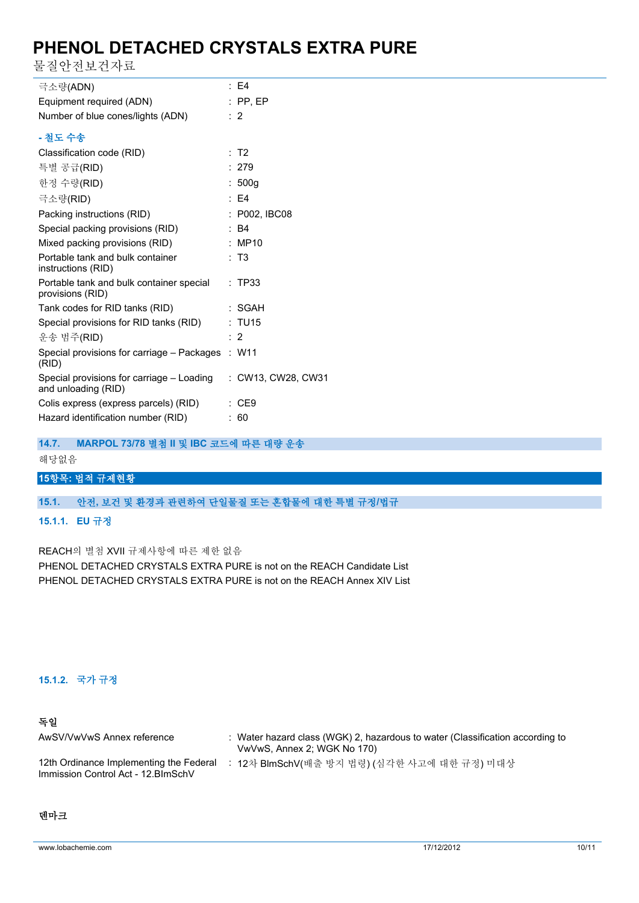물질안전보건자료

| 극소량(ADN)                                                         | : E4               |
|------------------------------------------------------------------|--------------------|
| Equipment required (ADN)                                         | $:$ PP, EP         |
| Number of blue cones/lights (ADN)                                | $\therefore$ 2     |
| - 철도 수송                                                          |                    |
| Classification code (RID)                                        | : T2               |
| 특별 공급(RID)                                                       | : 279              |
| 한정 수량(RID)                                                       | : 500g             |
| 극소량(RID)                                                         | $E = 4$            |
| Packing instructions (RID)                                       | : P002, IBC08      |
| Special packing provisions (RID)                                 | $\therefore$ B4    |
| Mixed packing provisions (RID)                                   | : MP10             |
| Portable tank and bulk container<br>instructions (RID)           | : T3               |
| Portable tank and bulk container special<br>provisions (RID)     | : TP33             |
| Tank codes for RID tanks (RID)                                   | : SGAH             |
| Special provisions for RID tanks (RID)                           | : TU15             |
| 운송 범주(RID)                                                       | : 2                |
| Special provisions for carriage - Packages : W11<br>(RID)        |                    |
| Special provisions for carriage – Loading<br>and unloading (RID) | : CW13, CW28, CW31 |
| Colis express (express parcels) (RID)                            | :CE9               |
| Hazard identification number (RID)                               | : 60               |

### **14.7. MARPOL 73/78 별첨 II 및 IBC 코드에 따른 대량 운송**

해당없음

## **15항목: 법적 규제현황**

### **15.1. 안전, 보건 및 환경과 관련하여 단일물질 또는 혼합물에 대한 특별 규정/법규**

#### **15.1.1. EU 규정**

REACH의 별첨 XVII 규제사항에 따른 제한 없음

PHENOL DETACHED CRYSTALS EXTRA PURE is not on the REACH Candidate List PHENOL DETACHED CRYSTALS EXTRA PURE is not on the REACH Annex XIV List

### **15.1.2. 국가 규정**

### **독일**

| AwSV/VwVwS Annex reference                                                     | : Water hazard class (WGK) 2, hazardous to water (Classification according to<br>VwVwS, Annex 2; WGK No 170) |
|--------------------------------------------------------------------------------|--------------------------------------------------------------------------------------------------------------|
| 12th Ordinance Implementing the Federal<br>Immission Control Act - 12. BlmSchV | : 12차 BlmSchV(배출 방지 법령) (심각한 사고에 대한 규정) 미대상                                                                  |

### **덴마크**